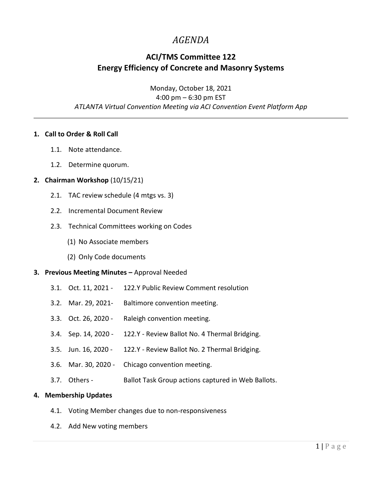# *AGENDA*

## **ACI/TMS Committee 122 Energy Efficiency of Concrete and Masonry Systems**

Monday, October 18, 2021 4:00 pm – 6:30 pm EST *ATLANTA Virtual Convention Meeting via ACI Convention Event Platform App*

### **1. Call to Order & Roll Call**

- 1.1. Note attendance.
- 1.2. Determine quorum.

#### **2. Chairman Workshop** (10/15/21)

- 2.1. TAC review schedule (4 mtgs vs. 3)
- 2.2. Incremental Document Review
- 2.3. Technical Committees working on Codes
	- (1) No Associate members
	- (2) Only Code documents

#### **3. Previous Meeting Minutes - Approval Needed**

- 3.1. Oct. 11, 2021 122.Y Public Review Comment resolution
- 3.2. Mar. 29, 2021- Baltimore convention meeting.
- 3.3. Oct. 26, 2020 Raleigh convention meeting.
- 3.4. Sep. 14, 2020 122.Y Review Ballot No. 4 Thermal Bridging.
- 3.5. Jun. 16, 2020 122.Y Review Ballot No. 2 Thermal Bridging.
- 3.6. Mar. 30, 2020 Chicago convention meeting.
- 3.7. Others Ballot Task Group actions captured in Web Ballots.

#### **4. Membership Updates**

- 4.1. Voting Member changes due to non-responsiveness
- 4.2. Add New voting members